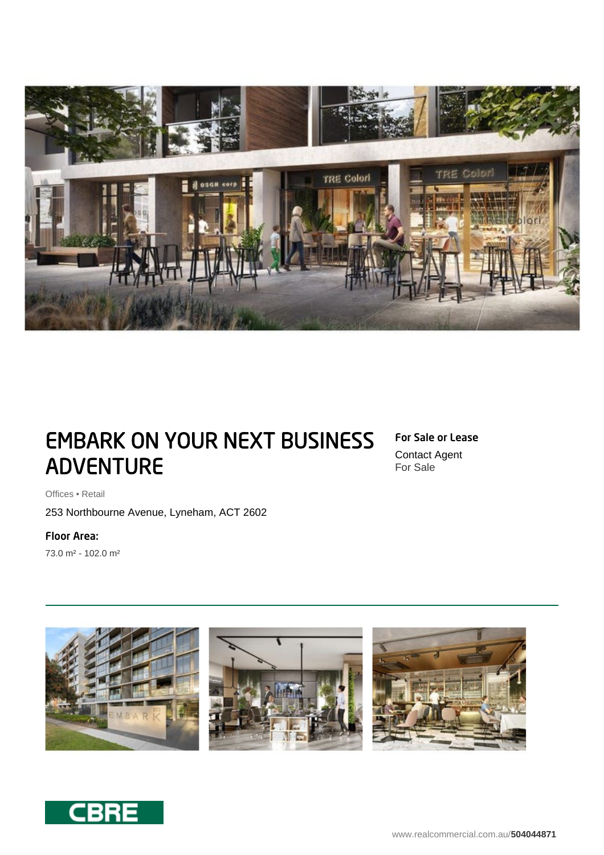

# EMBARK ON YOUR NEXT BUSINESS ADVENTURE

## For Sale or Lease

Contact Agent For Sale

Offices • Retail

253 Northbourne Avenue, Lyneham, ACT 2602

Floor Area:

73.0 m² - 102.0 m²